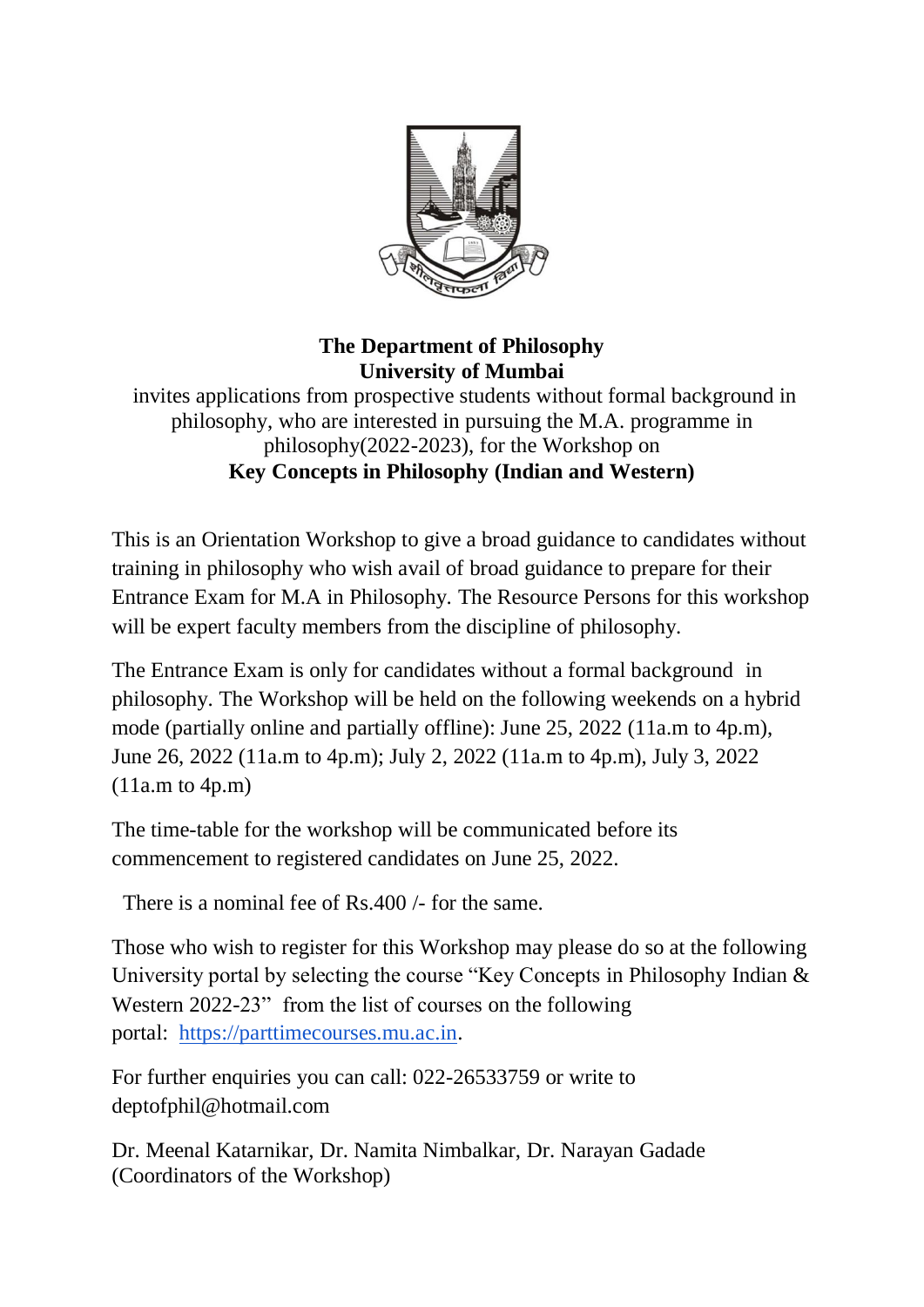

## **The Department of Philosophy University of Mumbai**

invites applications from prospective students without formal background in philosophy, who are interested in pursuing the M.A. programme in philosophy(2022-2023), for the Workshop on **Key Concepts in Philosophy (Indian and Western)**

This is an Orientation Workshop to give a broad guidance to candidates without training in philosophy who wish avail of broad guidance to prepare for their Entrance Exam for M.A in Philosophy. The Resource Persons for this workshop will be expert faculty members from the discipline of philosophy.

The Entrance Exam is only for candidates without a formal background in philosophy. The Workshop will be held on the following weekends on a hybrid mode (partially online and partially offline): June 25, 2022 (11a.m to 4p.m), June 26, 2022 (11a.m to 4p.m); July 2, 2022 (11a.m to 4p.m), July 3, 2022 (11a.m to 4p.m)

The time-table for the workshop will be communicated before its commencement to registered candidates on June 25, 2022.

There is a nominal fee of Rs.400 /- for the same.

Those who wish to register for this Workshop may please do so at the following University portal by selecting the course "Key Concepts in Philosophy Indian & Western 2022-23" from the list of courses on the following portal: [https://parttimecourses.mu.ac.in.](https://parttimecourses.mu.ac.in/)

For further enquiries you can call: 022-26533759 or write to deptofphil@hotmail.com

Dr. Meenal Katarnikar, Dr. Namita Nimbalkar, Dr. Narayan Gadade (Coordinators of the Workshop)